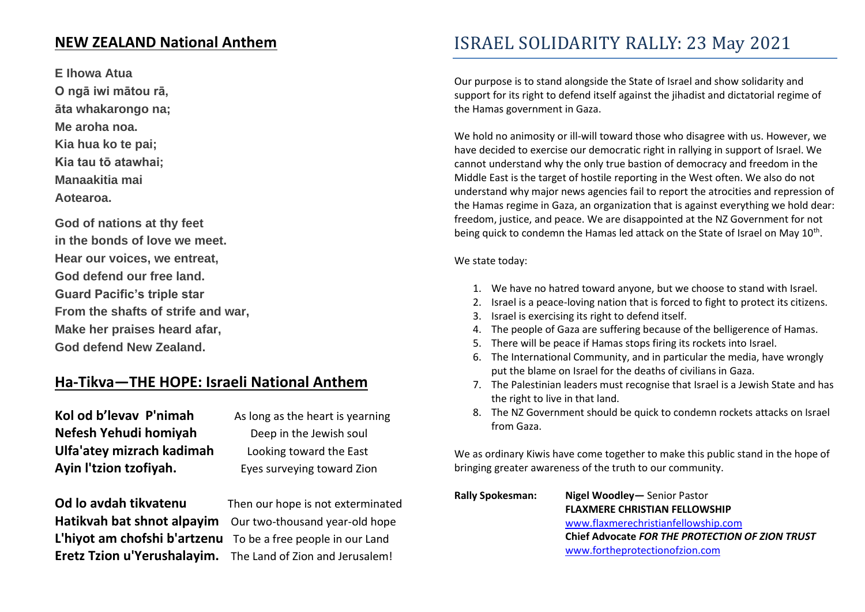### **NEW ZEALAND National Anthem**

**E Ihowa Atua O ngā iwi mātou rā, āta whakarongo na; Me aroha noa. Kia hua ko te pai; Kia tau tō atawhai; Manaakitia mai**

**Aotearoa.**

**God of nations at thy feet in the bonds of love we meet. Hear our voices, we entreat, God defend our free land. Guard Pacific's triple star From the shafts of strife and war, Make her praises heard afar, God defend New Zealand.**

### **Ha-Tikva—THE HOPE: Israeli National Anthem**

**Kol od b'levav P'nimah** As long as the heart is yearning **Nefesh Yehudi homiyah** Deep in the Jewish soul **Ulfa'atey mizrach kadimah** Looking toward the East **Ayin l'tzion tzofiyah.** Eyes surveying toward Zion

**Od lo avdah tikvatenu** Then our hope is not exterminated Hatikvah bat shnot alpayim Our two-thousand year-old hope **L'hiyot am chofshi b'artzenu** To be a free people in our Land **Eretz Tzion u'Yerushalayim.** The Land of Zion and Jerusalem!

## ISRAEL SOLIDARITY RALLY: 23 May 2021

Our purpose is to stand alongside the State of Israel and show solidarity and support for its right to defend itself against the jihadist and dictatorial regime of the Hamas government in Gaza.

We hold no animosity or ill-will toward those who disagree with us. However, we have decided to exercise our democratic right in rallying in support of Israel. We cannot understand why the only true bastion of democracy and freedom in the Middle East is the target of hostile reporting in the West often. We also do not understand why major news agencies fail to report the atrocities and repression of the Hamas regime in Gaza, an organization that is against everything we hold dear: freedom, justice, and peace. We are disappointed at the NZ Government for not being quick to condemn the Hamas led attack on the State of Israel on May  $10^{\text{th}}$ .

We state today:

- 1. We have no hatred toward anyone, but we choose to stand with Israel.
- 2. Israel is a peace-loving nation that is forced to fight to protect its citizens.
- 3. Israel is exercising its right to defend itself.
- 4. The people of Gaza are suffering because of the belligerence of Hamas.
- 5. There will be peace if Hamas stops firing its rockets into Israel.
- 6. The International Community, and in particular the media, have wrongly put the blame on Israel for the deaths of civilians in Gaza.
- 7. The Palestinian leaders must recognise that Israel is a Jewish State and has the right to live in that land.
- 8. The NZ Government should be quick to condemn rockets attacks on Israel from Gaza.

We as ordinary Kiwis have come together to make this public stand in the hope of bringing greater awareness of the truth to our community.

| Rally Spokesman: | Nigel Woodley - Senior Pastor                   |
|------------------|-------------------------------------------------|
|                  | <b>FLAXMERE CHRISTIAN FELLOWSHIP</b>            |
|                  | www.flaxmerechristianfellowship.com             |
|                  | Chief Advocate FOR THE PROTECTION OF ZION TRUST |
|                  | www.fortheprotectionofzion.com                  |